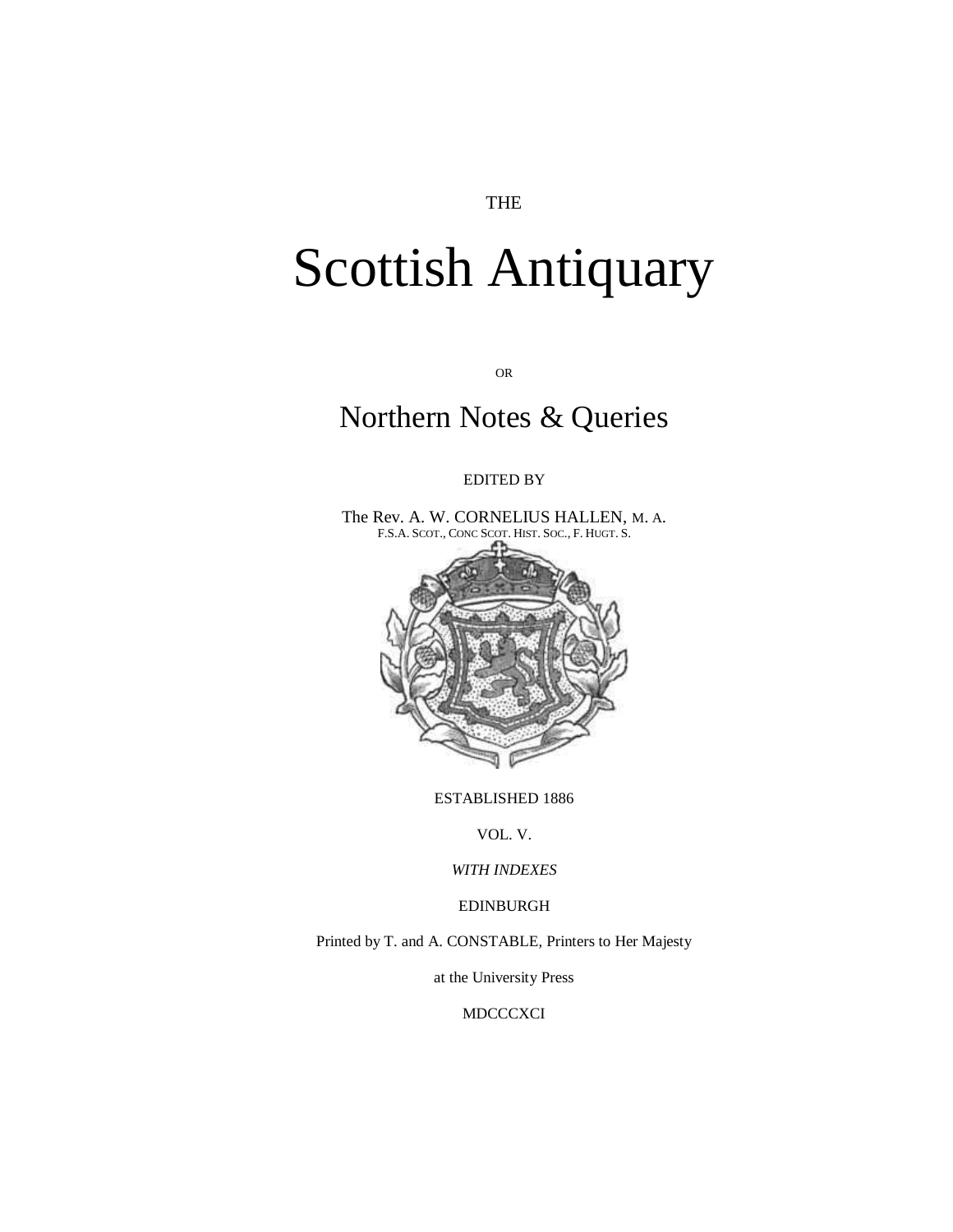## THE

## Scottish Antiquary

OR

## Northern Notes & Queries

## EDITED BY

The Rev. A. W. CORNELIUS HALLEN, M. A. F.S.A. SCOT., CONC SCOT. HIST. SOC., F. HUGT. S.



ESTABLISHED 1886

VOL. V.

*WITH INDEXES*

EDINBURGH

Printed by T. and A. CONSTABLE, Printers to Her Majesty

at the University Press

**MDCCCXCI**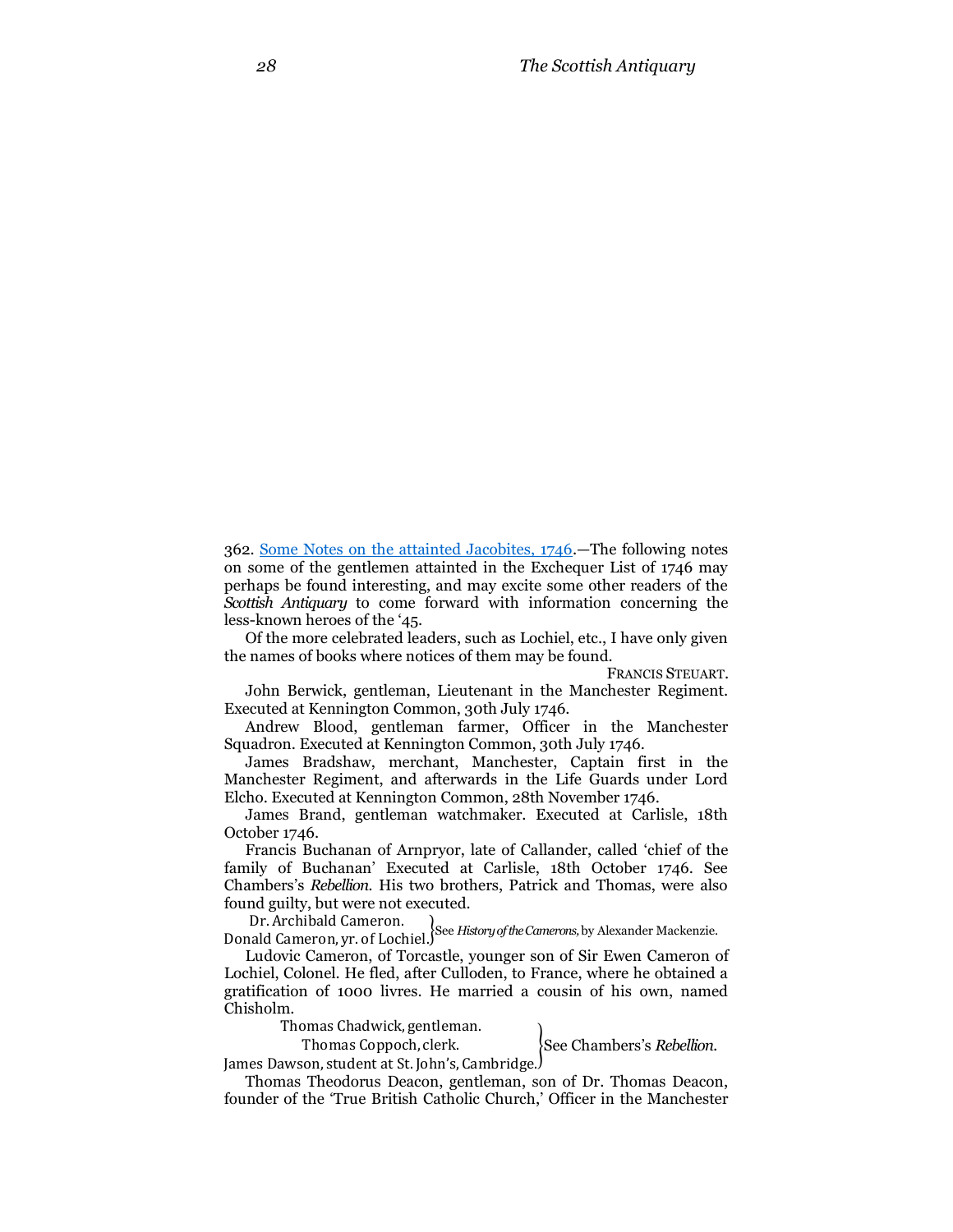362. [Some Notes on the attainted Jacobites, 1746.](http://books.google.com/books?id=O_AGAAAAYAAJ&dq=The%20Scottish%20Antiquary%2C%20or%2C%20Northern%20Notes%20and%20Queries&pg=RA1-PA27#v=onepage&q=William%20Fidler&f=false)—The following notes on some of the gentlemen attainted in the Exchequer List of 1746 may perhaps be found interesting, and may excite some other readers of the *Scottish Antiquary* to come forward with information concerning the less-known heroes of the '45.

Of the more celebrated leaders, such as Lochiel, etc., I have only given the names of books where notices of them may be found.

FRANCIS STEUART.

John Berwick, gentleman, Lieutenant in the Manchester Regiment. Executed at Kennington Common, 30th July 1746.

Andrew Blood, gentleman farmer, Officer in the Manchester Squadron. Executed at Kennington Common, 30th July 1746.

James Bradshaw, merchant, Manchester, Captain first in the Manchester Regiment, and afterwards in the Life Guards under Lord Elcho. Executed at Kennington Common, 28th November 1746.

James Brand, gentleman watchmaker. Executed at Carlisle, 18th October 1746.

Francis Buchanan of Arnpryor, late of Callander, called 'chief of the family of Buchanan' Executed at Carlisle, 18th October 1746. See Chambers's *Rebellion.* His two brothers, Patrick and Thomas, were also found guilty, but were not executed.

D B1.111 Chibald Cameron.<br>Donald Cameron, yr. of Lochiel.<sup>See History of the Camerons, by Alexander Mackenzie.</sup>

Ludovic Cameron, of Torcastle, younger son of Sir Ewen Cameron of Lochiel, Colonel. He fled, after Culloden, to France, where he obtained a gratification of 1000 livres. He married a cousin of his own, named Chisholm.

> Thomas Chadwick, gentleman. Thomas Coppoch, clerk.

James Dawson, student at St. John's, Cambridge. }See Chambers's *Rebellion.*

Thomas Theodorus Deacon, gentleman, son of Dr. Thomas Deacon, founder of the 'True British Catholic Church,' Officer in the Manchester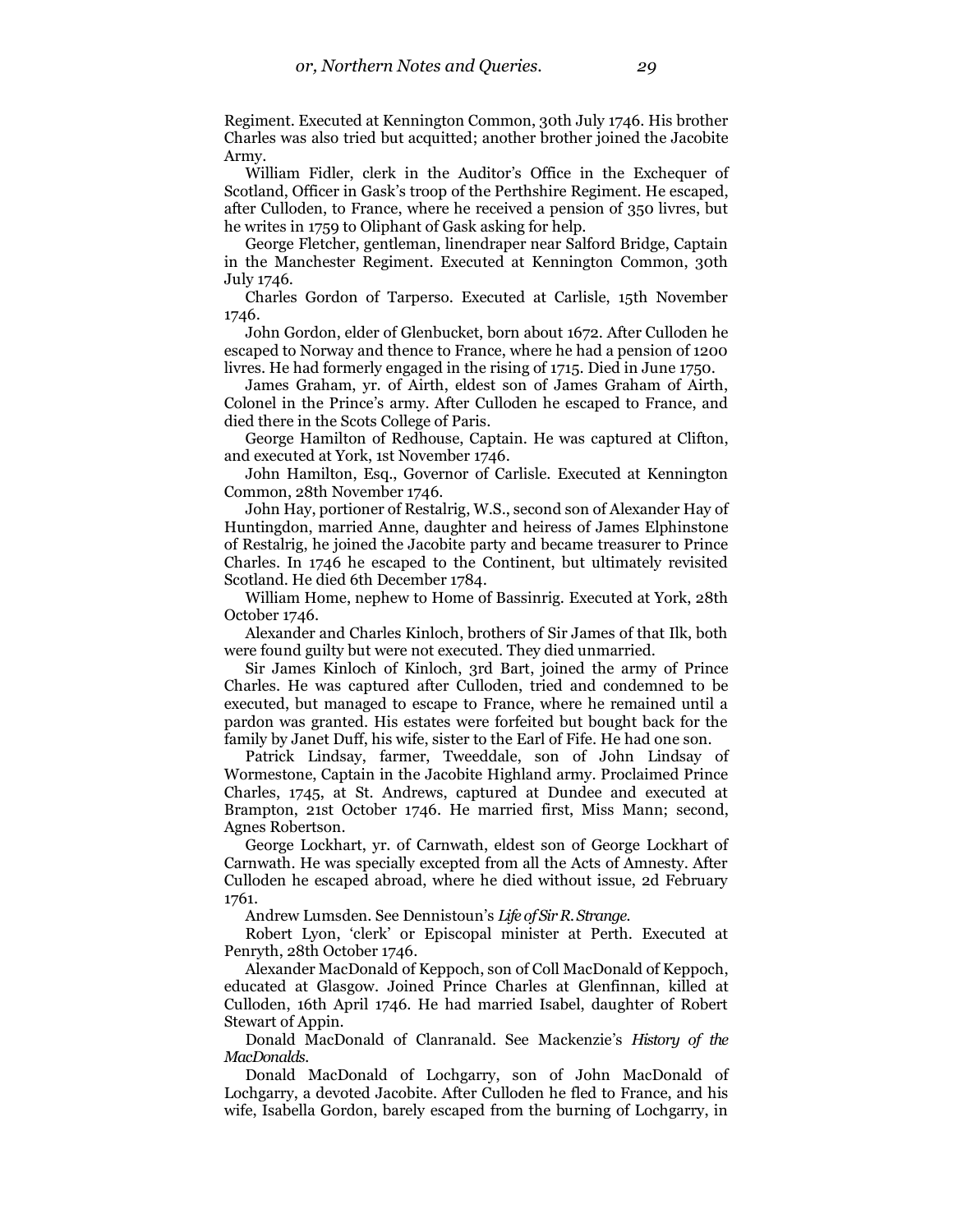Regiment. Executed at Kennington Common, 30th July 1746. His brother Charles was also tried but acquitted; another brother joined the Jacobite Army.

William Fidler, clerk in the Auditor's Office in the Exchequer of Scotland, Officer in Gask's troop of the Perthshire Regiment. He escaped, after Culloden, to France, where he received a pension of 350 livres, but he writes in 1759 to Oliphant of Gask asking for help.

George Fletcher, gentleman, linendraper near Salford Bridge, Captain in the Manchester Regiment. Executed at Kennington Common, 30th July 1746.

Charles Gordon of Tarperso. Executed at Carlisle, 15th November 1746.

John Gordon, elder of Glenbucket, born about 1672. After Culloden he escaped to Norway and thence to France, where he had a pension of 1200 livres. He had formerly engaged in the rising of 1715. Died in June 1750.

James Graham, yr. of Airth, eldest son of James Graham of Airth, Colonel in the Prince's army. After Culloden he escaped to France, and died there in the Scots College of Paris.

George Hamilton of Redhouse, Captain. He was captured at Clifton, and executed at York, 1st November 1746.

John Hamilton, Esq., Governor of Carlisle. Executed at Kennington Common, 28th November 1746.

John Hay, portioner of Restalrig, W.S., second son of Alexander Hay of Huntingdon, married Anne, daughter and heiress of James Elphinstone of Restalrig, he joined the Jacobite party and became treasurer to Prince Charles. In 1746 he escaped to the Continent, but ultimately revisited Scotland. He died 6th December 1784.

William Home, nephew to Home of Bassinrig. Executed at York, 28th October 1746.

Alexander and Charles Kinloch, brothers of Sir James of that Ilk, both were found guilty but were not executed. They died unmarried.

Sir James Kinloch of Kinloch, 3rd Bart, joined the army of Prince Charles. He was captured after Culloden, tried and condemned to be executed, but managed to escape to France, where he remained until a pardon was granted. His estates were forfeited but bought back for the family by Janet Duff, his wife, sister to the Earl of Fife. He had one son.

Patrick Lindsay, farmer, Tweeddale, son of John Lindsay of Wormestone, Captain in the Jacobite Highland army. Proclaimed Prince Charles, 1745, at St. Andrews, captured at Dundee and executed at Brampton, 21st October 1746. He married first, Miss Mann; second, Agnes Robertson.

George Lockhart, yr. of Carnwath, eldest son of George Lockhart of Carnwath. He was specially excepted from all the Acts of Amnesty. After Culloden he escaped abroad, where he died without issue, 2d February 1761.

Andrew Lumsden. See Dennistoun's *Life of Sir R. Strange.*

Robert Lyon, 'clerk' or Episcopal minister at Perth. Executed at Penryth, 28th October 1746.

Alexander MacDonald of Keppoch, son of Coll MacDonald of Keppoch, educated at Glasgow. Joined Prince Charles at Glenfinnan, killed at Culloden, 16th April 1746. He had married Isabel, daughter of Robert Stewart of Appin.

Donald MacDonald of Clanranald. See Mackenzie's *History of the MacDonalds.*

Donald MacDonald of Lochgarry, son of John MacDonald of Lochgarry, a devoted Jacobite. After Culloden he fled to France, and his wife, Isabella Gordon, barely escaped from the burning of Lochgarry, in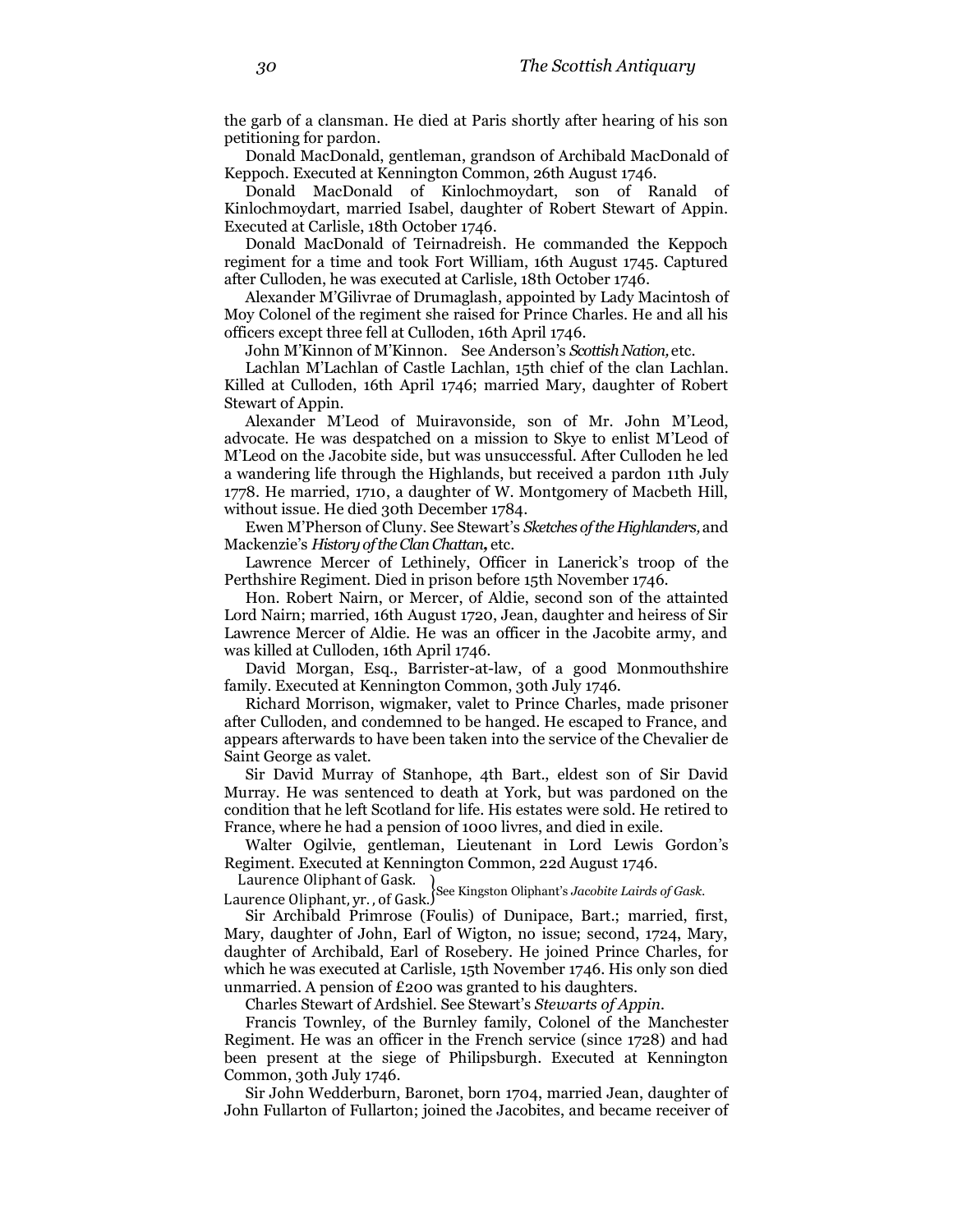the garb of a clansman. He died at Paris shortly after hearing of his son petitioning for pardon.

Donald MacDonald, gentleman, grandson of Archibald MacDonald of Keppoch. Executed at Kennington Common, 26th August 1746.

Donald MacDonald of Kinlochmoydart, son of Ranald of Kinlochmoydart, married Isabel, daughter of Robert Stewart of Appin. Executed at Carlisle, 18th October 1746.

Donald MacDonald of Teirnadreish. He commanded the Keppoch regiment for a time and took Fort William, 16th August 1745. Captured after Culloden, he was executed at Carlisle, 18th October 1746.

Alexander M'Gilivrae of Drumaglash, appointed by Lady Macintosh of Moy Colonel of the regiment she raised for Prince Charles. He and all his officers except three fell at Culloden, 16th April 1746.

John M'Kinnon of M'Kinnon. See Anderson's *Scottish Nation,* etc.

Lachlan M'Lachlan of Castle Lachlan, 15th chief of the clan Lachlan. Killed at Culloden, 16th April 1746; married Mary, daughter of Robert Stewart of Appin.

Alexander M'Leod of Muiravonside, son of Mr. John M'Leod, advocate. He was despatched on a mission to Skye to enlist M'Leod of M'Leod on the Jacobite side, but was unsuccessful. After Culloden he led a wandering life through the Highlands, but received a pardon 11th July 1778. He married, 1710, a daughter of W. Montgomery of Macbeth Hill, without issue. He died 30th December 1784.

Ewen M'Pherson of Cluny. See Stewart's *Sketches of the Highlanders,* and Mackenzie's *History of the Clan Chattan,* etc.

Lawrence Mercer of Lethinely, Officer in Lanerick's troop of the Perthshire Regiment. Died in prison before 15th November 1746.

Hon. Robert Nairn, or Mercer, of Aldie, second son of the attainted Lord Nairn; married, 16th August 1720, Jean, daughter and heiress of Sir Lawrence Mercer of Aldie. He was an officer in the Jacobite army, and was killed at Culloden, 16th April 1746.

David Morgan, Esq., Barrister-at-law, of a good Monmouthshire family. Executed at Kennington Common, 30th July 1746.

Richard Morrison, wigmaker, valet to Prince Charles, made prisoner after Culloden, and condemned to be hanged. He escaped to France, and appears afterwards to have been taken into the service of the Chevalier de Saint George as valet.

Sir David Murray of Stanhope, 4th Bart., eldest son of Sir David Murray. He was sentenced to death at York, but was pardoned on the condition that he left Scotland for life. His estates were sold. He retired to France, where he had a pension of 1000 livres, and died in exile.

Walter Ogilvie, gentleman, Lieutenant in Lord Lewis Gordon's Regiment. Executed at Kennington Common, 22d August 1746.

L add chcc onphant of dask.<br>Laurence Oliphant, yr., of Gask.<sup>See</sup> Kingston Oliphant's *Jacobite Lairds of Gask*.

Sir Archibald Primrose (Foulis) of Dunipace, Bart.; married, first, Mary, daughter of John, Earl of Wigton, no issue; second, 1724, Mary, daughter of Archibald, Earl of Rosebery. He joined Prince Charles, for which he was executed at Carlisle, 15th November 1746. His only son died unmarried. A pension of £200 was granted to his daughters.

Charles Stewart of Ardshiel. See Stewart's *Stewarts of Appin.*

Francis Townley, of the Burnley family, Colonel of the Manchester Regiment. He was an officer in the French service (since 1728) and had been present at the siege of Philipsburgh. Executed at Kennington Common, 30th July 1746.

Sir John Wedderburn, Baronet, born 1704, married Jean, daughter of John Fullarton of Fullarton; joined the Jacobites, and became receiver of